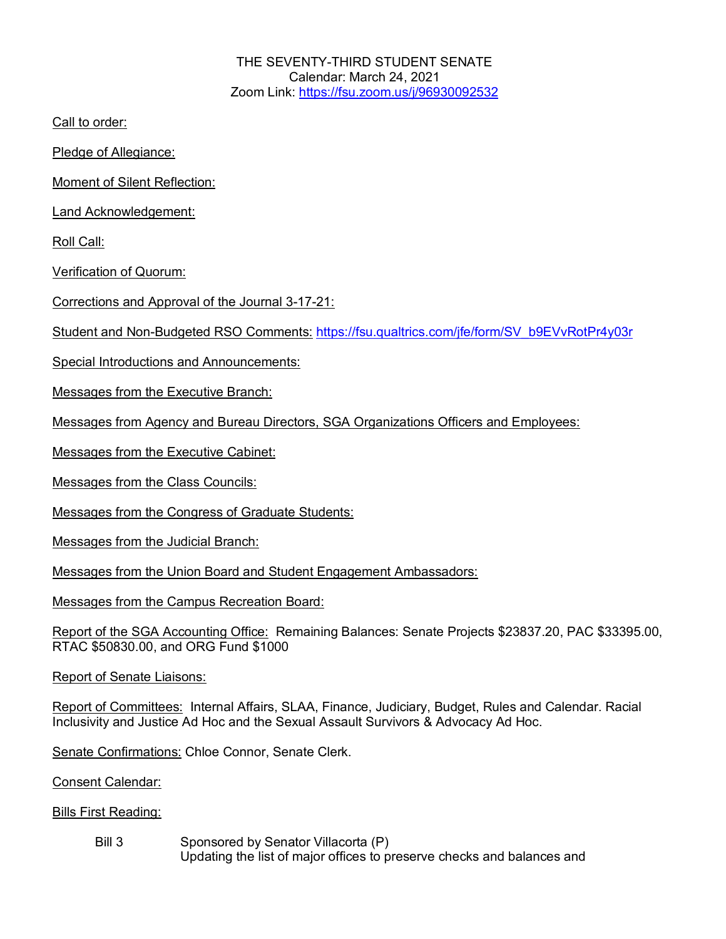THE SEVENTY-THIRD STUDENT SENATE Calendar: March 24, 2021 Zoom Link: https://fsu.zoom.us/j/96930092532

Call to order:

Pledge of Allegiance:

Moment of Silent Reflection:

Land Acknowledgement:

Roll Call:

Verification of Quorum:

Corrections and Approval of the Journal 3-17-21:

Student and Non-Budgeted RSO Comments: https://fsu.qualtrics.com/jfe/form/SV\_b9EVvRotPr4y03r

Special Introductions and Announcements:

Messages from the Executive Branch:

Messages from Agency and Bureau Directors, SGA Organizations Officers and Employees:

Messages from the Executive Cabinet:

Messages from the Class Councils:

Messages from the Congress of Graduate Students:

Messages from the Judicial Branch:

Messages from the Union Board and Student Engagement Ambassadors:

Messages from the Campus Recreation Board:

Report of the SGA Accounting Office: Remaining Balances: Senate Projects \$23837.20, PAC \$33395.00, RTAC \$50830.00, and ORG Fund \$1000

Report of Senate Liaisons:

Report of Committees: Internal Affairs, SLAA, Finance, Judiciary, Budget, Rules and Calendar. Racial Inclusivity and Justice Ad Hoc and the Sexual Assault Survivors & Advocacy Ad Hoc.

Senate Confirmations: Chloe Connor, Senate Clerk.

Consent Calendar:

Bills First Reading:

Bill 3 Sponsored by Senator Villacorta (P) Updating the list of major offices to preserve checks and balances and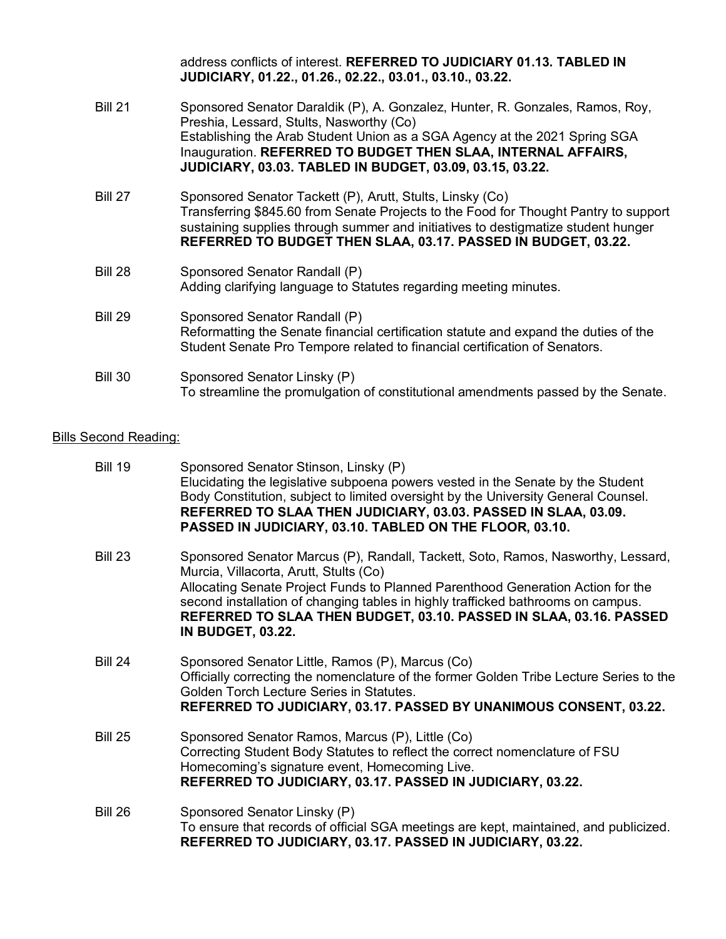|                | address conflicts of interest. REFERRED TO JUDICIARY 01.13. TABLED IN<br>JUDICIARY, 01.22., 01.26., 02.22., 03.01., 03.10., 03.22.                                                                                                                                                                                                          |
|----------------|---------------------------------------------------------------------------------------------------------------------------------------------------------------------------------------------------------------------------------------------------------------------------------------------------------------------------------------------|
| <b>Bill 21</b> | Sponsored Senator Daraldik (P), A. Gonzalez, Hunter, R. Gonzales, Ramos, Roy,<br>Preshia, Lessard, Stults, Nasworthy (Co)<br>Establishing the Arab Student Union as a SGA Agency at the 2021 Spring SGA<br>Inauguration. REFERRED TO BUDGET THEN SLAA, INTERNAL AFFAIRS,<br><b>JUDICIARY, 03.03. TABLED IN BUDGET, 03.09, 03.15, 03.22.</b> |
| <b>Bill 27</b> | Sponsored Senator Tackett (P), Arutt, Stults, Linsky (Co)<br>Transferring \$845.60 from Senate Projects to the Food for Thought Pantry to support<br>sustaining supplies through summer and initiatives to destigmatize student hunger<br>REFERRED TO BUDGET THEN SLAA, 03.17. PASSED IN BUDGET, 03.22.                                     |
| <b>Bill 28</b> | Sponsored Senator Randall (P)<br>Adding clarifying language to Statutes regarding meeting minutes.                                                                                                                                                                                                                                          |
| <b>Bill 29</b> | Sponsored Senator Randall (P)<br>Reformatting the Senate financial certification statute and expand the duties of the<br>Student Senate Pro Tempore related to financial certification of Senators.                                                                                                                                         |
| <b>Bill 30</b> | Sponsored Senator Linsky (P)<br>To streamline the promulgation of constitutional amendments passed by the Senate.                                                                                                                                                                                                                           |

## **Bills Second Reading:**

| <b>Bill 19</b> | Sponsored Senator Stinson, Linsky (P)<br>Elucidating the legislative subpoena powers vested in the Senate by the Student<br>Body Constitution, subject to limited oversight by the University General Counsel.<br>REFERRED TO SLAA THEN JUDICIARY, 03.03. PASSED IN SLAA, 03.09.<br>PASSED IN JUDICIARY, 03.10. TABLED ON THE FLOOR, 03.10.                                                         |
|----------------|-----------------------------------------------------------------------------------------------------------------------------------------------------------------------------------------------------------------------------------------------------------------------------------------------------------------------------------------------------------------------------------------------------|
| <b>Bill 23</b> | Sponsored Senator Marcus (P), Randall, Tackett, Soto, Ramos, Nasworthy, Lessard,<br>Murcia, Villacorta, Arutt, Stults (Co)<br>Allocating Senate Project Funds to Planned Parenthood Generation Action for the<br>second installation of changing tables in highly trafficked bathrooms on campus.<br>REFERRED TO SLAA THEN BUDGET, 03.10. PASSED IN SLAA, 03.16. PASSED<br><b>IN BUDGET, 03.22.</b> |
| <b>Bill 24</b> | Sponsored Senator Little, Ramos (P), Marcus (Co)<br>Officially correcting the nomenclature of the former Golden Tribe Lecture Series to the<br>Golden Torch Lecture Series in Statutes.<br>REFERRED TO JUDICIARY, 03.17. PASSED BY UNANIMOUS CONSENT, 03.22.                                                                                                                                        |
| <b>Bill 25</b> | Sponsored Senator Ramos, Marcus (P), Little (Co)<br>Correcting Student Body Statutes to reflect the correct nomenclature of FSU<br>Homecoming's signature event, Homecoming Live.<br>REFERRED TO JUDICIARY, 03.17. PASSED IN JUDICIARY, 03.22.                                                                                                                                                      |
| <b>Bill 26</b> | Sponsored Senator Linsky (P)<br>To ensure that records of official SGA meetings are kept, maintained, and publicized.<br>REFERRED TO JUDICIARY, 03.17. PASSED IN JUDICIARY, 03.22.                                                                                                                                                                                                                  |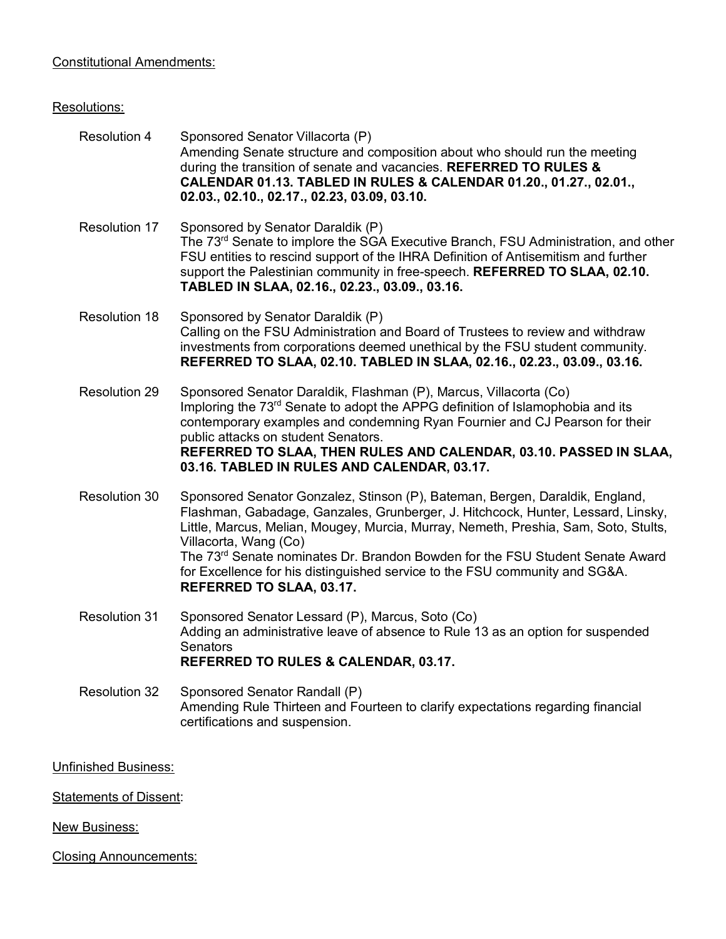## Constitutional Amendments:

## Resolutions:

| <b>Resolution 4</b>  | Sponsored Senator Villacorta (P)<br>Amending Senate structure and composition about who should run the meeting<br>during the transition of senate and vacancies. REFERRED TO RULES &<br>CALENDAR 01.13. TABLED IN RULES & CALENDAR 01.20., 01.27., 02.01.,<br>02.03., 02.10., 02.17., 02.23, 03.09, 03.10.                                                                                                                                                                               |
|----------------------|------------------------------------------------------------------------------------------------------------------------------------------------------------------------------------------------------------------------------------------------------------------------------------------------------------------------------------------------------------------------------------------------------------------------------------------------------------------------------------------|
| <b>Resolution 17</b> | Sponsored by Senator Daraldik (P)<br>The 73 <sup>rd</sup> Senate to implore the SGA Executive Branch, FSU Administration, and other<br>FSU entities to rescind support of the IHRA Definition of Antisemitism and further<br>support the Palestinian community in free-speech. REFERRED TO SLAA, 02.10.<br>TABLED IN SLAA, 02.16., 02.23., 03.09., 03.16.                                                                                                                                |
| <b>Resolution 18</b> | Sponsored by Senator Daraldik (P)<br>Calling on the FSU Administration and Board of Trustees to review and withdraw<br>investments from corporations deemed unethical by the FSU student community.<br>REFERRED TO SLAA, 02.10. TABLED IN SLAA, 02.16., 02.23., 03.09., 03.16.                                                                                                                                                                                                           |
| Resolution 29        | Sponsored Senator Daraldik, Flashman (P), Marcus, Villacorta (Co)<br>Imploring the 73 <sup>rd</sup> Senate to adopt the APPG definition of Islamophobia and its<br>contemporary examples and condemning Ryan Fournier and CJ Pearson for their<br>public attacks on student Senators.<br>REFERRED TO SLAA, THEN RULES AND CALENDAR, 03.10. PASSED IN SLAA,<br>03.16. TABLED IN RULES AND CALENDAR, 03.17.                                                                                |
| Resolution 30        | Sponsored Senator Gonzalez, Stinson (P), Bateman, Bergen, Daraldik, England,<br>Flashman, Gabadage, Ganzales, Grunberger, J. Hitchcock, Hunter, Lessard, Linsky,<br>Little, Marcus, Melian, Mougey, Murcia, Murray, Nemeth, Preshia, Sam, Soto, Stults,<br>Villacorta, Wang (Co)<br>The 73 <sup>rd</sup> Senate nominates Dr. Brandon Bowden for the FSU Student Senate Award<br>for Excellence for his distinguished service to the FSU community and SG&A.<br>REFERRED TO SLAA, 03.17. |
| <b>Resolution 31</b> | Sponsored Senator Lessard (P), Marcus, Soto (Co)<br>Adding an administrative leave of absence to Rule 13 as an option for suspended<br>Senators<br>REFERRED TO RULES & CALENDAR, 03.17.                                                                                                                                                                                                                                                                                                  |

Resolution 32 Sponsored Senator Randall (P) Amending Rule Thirteen and Fourteen to clarify expectations regarding financial certifications and suspension.

Unfinished Business:

**Statements of Dissent:** 

New Business:

Closing Announcements: